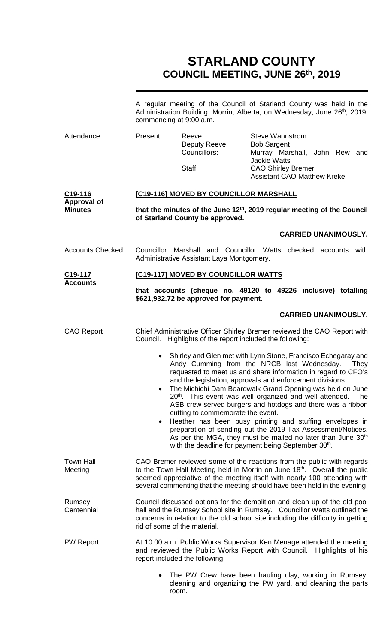# **STARLAND COUNTY COUNCIL MEETING, JUNE 26th, 2019**

|                                                 | A regular meeting of the Council of Starland County was held in the<br>Administration Building, Morrin, Alberta, on Wednesday, June 26 <sup>th</sup> , 2019,<br>commencing at 9:00 a.m.                                                                                                                                                                                                                                                                                                                                                                                                                                                                                                                                                                                                          |                                         |                                                                                                                       |  |  |
|-------------------------------------------------|--------------------------------------------------------------------------------------------------------------------------------------------------------------------------------------------------------------------------------------------------------------------------------------------------------------------------------------------------------------------------------------------------------------------------------------------------------------------------------------------------------------------------------------------------------------------------------------------------------------------------------------------------------------------------------------------------------------------------------------------------------------------------------------------------|-----------------------------------------|-----------------------------------------------------------------------------------------------------------------------|--|--|
| Attendance                                      | Present:                                                                                                                                                                                                                                                                                                                                                                                                                                                                                                                                                                                                                                                                                                                                                                                         | Reeve:<br>Deputy Reeve:<br>Councillors: | <b>Steve Wannstrom</b><br><b>Bob Sargent</b><br>Murray Marshall, John Rew and<br><b>Jackie Watts</b>                  |  |  |
|                                                 |                                                                                                                                                                                                                                                                                                                                                                                                                                                                                                                                                                                                                                                                                                                                                                                                  | Staff:                                  | <b>CAO Shirley Bremer</b><br><b>Assistant CAO Matthew Kreke</b>                                                       |  |  |
| C19-116<br><b>Approval of</b><br><b>Minutes</b> | [C19-116] MOVED BY COUNCILLOR MARSHALL                                                                                                                                                                                                                                                                                                                                                                                                                                                                                                                                                                                                                                                                                                                                                           |                                         |                                                                                                                       |  |  |
|                                                 | that the minutes of the June 12 <sup>th</sup> , 2019 regular meeting of the Council<br>of Starland County be approved.                                                                                                                                                                                                                                                                                                                                                                                                                                                                                                                                                                                                                                                                           |                                         |                                                                                                                       |  |  |
|                                                 |                                                                                                                                                                                                                                                                                                                                                                                                                                                                                                                                                                                                                                                                                                                                                                                                  |                                         | <b>CARRIED UNANIMOUSLY.</b>                                                                                           |  |  |
| <b>Accounts Checked</b>                         | Councillor Marshall and Councillor Watts checked accounts with<br>Administrative Assistant Laya Montgomery.                                                                                                                                                                                                                                                                                                                                                                                                                                                                                                                                                                                                                                                                                      |                                         |                                                                                                                       |  |  |
| C <sub>19</sub> -117<br><b>Accounts</b>         | [C19-117] MOVED BY COUNCILLOR WATTS                                                                                                                                                                                                                                                                                                                                                                                                                                                                                                                                                                                                                                                                                                                                                              |                                         |                                                                                                                       |  |  |
|                                                 |                                                                                                                                                                                                                                                                                                                                                                                                                                                                                                                                                                                                                                                                                                                                                                                                  | \$621,932.72 be approved for payment.   | that accounts (cheque no. 49120 to 49226 inclusive) totalling                                                         |  |  |
|                                                 |                                                                                                                                                                                                                                                                                                                                                                                                                                                                                                                                                                                                                                                                                                                                                                                                  |                                         | <b>CARRIED UNANIMOUSLY.</b>                                                                                           |  |  |
| <b>CAO Report</b>                               | Chief Administrative Officer Shirley Bremer reviewed the CAO Report with<br>Council. Highlights of the report included the following:                                                                                                                                                                                                                                                                                                                                                                                                                                                                                                                                                                                                                                                            |                                         |                                                                                                                       |  |  |
|                                                 | Shirley and Glen met with Lynn Stone, Francisco Echegaray and<br>$\bullet$<br>Andy Cumming from the NRCB last Wednesday.<br>They<br>requested to meet us and share information in regard to CFO's<br>and the legislation, approvals and enforcement divisions.<br>The Michichi Dam Boardwalk Grand Opening was held on June<br>20 <sup>th</sup> . This event was well organized and well attended. The<br>ASB crew served burgers and hotdogs and there was a ribbon<br>cutting to commemorate the event.<br>Heather has been busy printing and stuffing envelopes in<br>$\bullet$<br>preparation of sending out the 2019 Tax Assessment/Notices.<br>As per the MGA, they must be mailed no later than June 30 <sup>th</sup><br>with the deadline for payment being September 30 <sup>th</sup> . |                                         |                                                                                                                       |  |  |
| <b>Town Hall</b><br>Meeting                     | CAO Bremer reviewed some of the reactions from the public with regards<br>to the Town Hall Meeting held in Morrin on June 18 <sup>th</sup> . Overall the public<br>seemed appreciative of the meeting itself with nearly 100 attending with<br>several commenting that the meeting should have been held in the evening.                                                                                                                                                                                                                                                                                                                                                                                                                                                                         |                                         |                                                                                                                       |  |  |
| Rumsey<br>Centennial                            | Council discussed options for the demolition and clean up of the old pool<br>hall and the Rumsey School site in Rumsey. Councillor Watts outlined the<br>concerns in relation to the old school site including the difficulty in getting<br>rid of some of the material.                                                                                                                                                                                                                                                                                                                                                                                                                                                                                                                         |                                         |                                                                                                                       |  |  |
| <b>PW Report</b>                                | At 10:00 a.m. Public Works Supervisor Ken Menage attended the meeting<br>and reviewed the Public Works Report with Council. Highlights of his<br>report included the following:                                                                                                                                                                                                                                                                                                                                                                                                                                                                                                                                                                                                                  |                                         |                                                                                                                       |  |  |
|                                                 |                                                                                                                                                                                                                                                                                                                                                                                                                                                                                                                                                                                                                                                                                                                                                                                                  | room.                                   | The PW Crew have been hauling clay, working in Rumsey,<br>cleaning and organizing the PW yard, and cleaning the parts |  |  |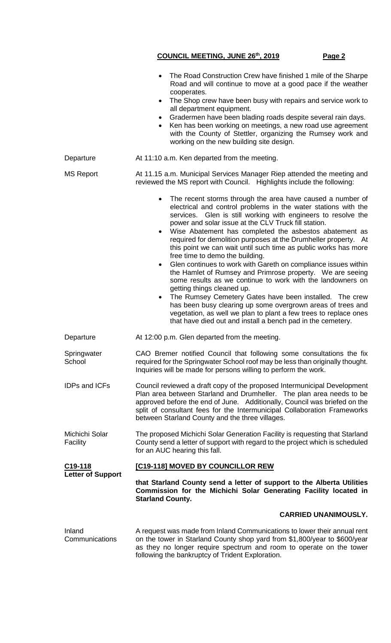**COUNCIL MEETING, JUNE 26th, 2019 Page 2** • The Road Construction Crew have finished 1 mile of the Sharpe Road and will continue to move at a good pace if the weather cooperates. The Shop crew have been busy with repairs and service work to all department equipment. • Gradermen have been blading roads despite several rain days. Ken has been working on meetings, a new road use agreement with the County of Stettler, organizing the Rumsey work and working on the new building site design. Departure **At 11:10 a.m. Ken departed from the meeting.** MS Report **At 11.15 a.m. Municipal Services Manager Riep attended the meeting and** reviewed the MS report with Council. Highlights include the following: The recent storms through the area have caused a number of electrical and control problems in the water stations with the services. Glen is still working with engineers to resolve the power and solar issue at the CLV Truck fill station. Wise Abatement has completed the asbestos abatement as required for demolition purposes at the Drumheller property. At this point we can wait until such time as public works has more free time to demo the building. Glen continues to work with Gareth on compliance issues within the Hamlet of Rumsey and Primrose property. We are seeing some results as we continue to work with the landowners on getting things cleaned up. The Rumsey Cemetery Gates have been installed. The crew has been busy clearing up some overgrown areas of trees and vegetation, as well we plan to plant a few trees to replace ones that have died out and install a bench pad in the cemetery. Departure **At 12:00 p.m. Glen departed from the meeting. Springwater** School CAO Bremer notified Council that following some consultations the fix required for the Springwater School roof may be less than originally thought. Inquiries will be made for persons willing to perform the work. IDPs and ICFs Council reviewed a draft copy of the proposed Intermunicipal Development Plan area between Starland and Drumheller. The plan area needs to be approved before the end of June. Additionally, Council was briefed on the split of consultant fees for the Intermunicipal Collaboration Frameworks between Starland County and the three villages. Michichi Solar **Facility** The proposed Michichi Solar Generation Facility is requesting that Starland County send a letter of support with regard to the project which is scheduled for an AUC hearing this fall. **C19-118 Letter of Support [C19-118] MOVED BY COUNCILLOR REW that Starland County send a letter of support to the Alberta Utilities Commission for the Michichi Solar Generating Facility located in Starland County. CARRIED UNANIMOUSLY.** Inland **Communications** A request was made from Inland Communications to lower their annual rent on the tower in Starland County shop yard from \$1,800/year to \$600/year as they no longer require spectrum and room to operate on the tower following the bankruptcy of Trident Exploration.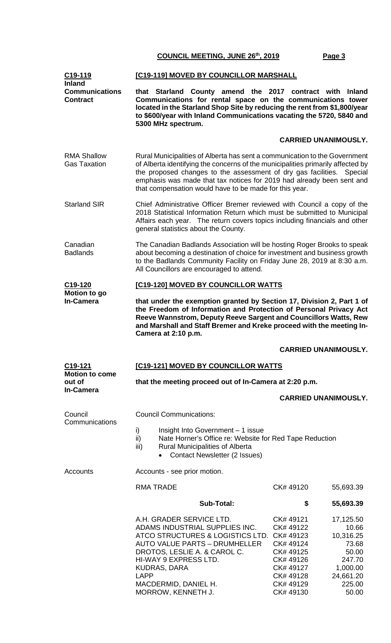| C <sub>19</sub> -119<br><b>Inland</b>               | [C19-119] MOVED BY COUNCILLOR MARSHALL                                                                                                                                                                                                                                                                                                                                    |                                                                                                                                                                                                                                                                      |                                                                                                                                |                                                                                                         |  |  |
|-----------------------------------------------------|---------------------------------------------------------------------------------------------------------------------------------------------------------------------------------------------------------------------------------------------------------------------------------------------------------------------------------------------------------------------------|----------------------------------------------------------------------------------------------------------------------------------------------------------------------------------------------------------------------------------------------------------------------|--------------------------------------------------------------------------------------------------------------------------------|---------------------------------------------------------------------------------------------------------|--|--|
| <b>Communications</b><br><b>Contract</b>            | that Starland County amend the 2017 contract with Inland<br>Communications for rental space on the communications tower<br>located in the Starland Shop Site by reducing the rent from \$1,800/year<br>to \$600/year with Inland Communications vacating the 5720, 5840 and<br>5300 MHz spectrum.                                                                         |                                                                                                                                                                                                                                                                      |                                                                                                                                |                                                                                                         |  |  |
|                                                     |                                                                                                                                                                                                                                                                                                                                                                           |                                                                                                                                                                                                                                                                      | <b>CARRIED UNANIMOUSLY.</b>                                                                                                    |                                                                                                         |  |  |
| <b>RMA Shallow</b><br><b>Gas Taxation</b>           | Rural Municipalities of Alberta has sent a communication to the Government<br>of Alberta identifying the concerns of the municipalities primarily affected by<br>the proposed changes to the assessment of dry gas facilities. Special<br>emphasis was made that tax notices for 2019 had already been sent and<br>that compensation would have to be made for this year. |                                                                                                                                                                                                                                                                      |                                                                                                                                |                                                                                                         |  |  |
| <b>Starland SIR</b>                                 | Chief Administrative Officer Bremer reviewed with Council a copy of the<br>2018 Statistical Information Return which must be submitted to Municipal<br>Affairs each year. The return covers topics including financials and other<br>general statistics about the County.                                                                                                 |                                                                                                                                                                                                                                                                      |                                                                                                                                |                                                                                                         |  |  |
| Canadian<br><b>Badlands</b>                         | The Canadian Badlands Association will be hosting Roger Brooks to speak<br>about becoming a destination of choice for investment and business growth<br>to the Badlands Community Facility on Friday June 28, 2019 at 8:30 a.m.<br>All Councillors are encouraged to attend.                                                                                              |                                                                                                                                                                                                                                                                      |                                                                                                                                |                                                                                                         |  |  |
| C19-120                                             |                                                                                                                                                                                                                                                                                                                                                                           | [C19-120] MOVED BY COUNCILLOR WATTS                                                                                                                                                                                                                                  |                                                                                                                                |                                                                                                         |  |  |
| Motion to go<br><b>In-Camera</b>                    | that under the exemption granted by Section 17, Division 2, Part 1 of<br>the Freedom of Information and Protection of Personal Privacy Act<br>Reeve Wannstrom, Deputy Reeve Sargent and Councillors Watts, Rew<br>and Marshall and Staff Bremer and Kreke proceed with the meeting In-<br>Camera at 2:10 p.m.                                                             |                                                                                                                                                                                                                                                                      |                                                                                                                                |                                                                                                         |  |  |
|                                                     |                                                                                                                                                                                                                                                                                                                                                                           |                                                                                                                                                                                                                                                                      | <b>CARRIED UNANIMOUSLY.</b>                                                                                                    |                                                                                                         |  |  |
| C <sub>19</sub> -121                                | [C19-121] MOVED BY COUNCILLOR WATTS                                                                                                                                                                                                                                                                                                                                       |                                                                                                                                                                                                                                                                      |                                                                                                                                |                                                                                                         |  |  |
| <b>Motion to come</b><br>out of<br><b>In-Camera</b> | that the meeting proceed out of In-Camera at 2:20 p.m.                                                                                                                                                                                                                                                                                                                    |                                                                                                                                                                                                                                                                      |                                                                                                                                |                                                                                                         |  |  |
|                                                     |                                                                                                                                                                                                                                                                                                                                                                           |                                                                                                                                                                                                                                                                      | <b>CARRIED UNANIMOUSLY.</b>                                                                                                    |                                                                                                         |  |  |
| Council                                             | <b>Council Communications:</b>                                                                                                                                                                                                                                                                                                                                            |                                                                                                                                                                                                                                                                      |                                                                                                                                |                                                                                                         |  |  |
| Communications                                      | i)<br>Insight Into Government - 1 issue<br>ii)<br>Nate Horner's Office re: Website for Red Tape Reduction<br>iii)<br><b>Rural Municipalities of Alberta</b><br><b>Contact Newsletter (2 Issues)</b>                                                                                                                                                                       |                                                                                                                                                                                                                                                                      |                                                                                                                                |                                                                                                         |  |  |
| Accounts                                            | Accounts - see prior motion.                                                                                                                                                                                                                                                                                                                                              |                                                                                                                                                                                                                                                                      |                                                                                                                                |                                                                                                         |  |  |
|                                                     |                                                                                                                                                                                                                                                                                                                                                                           | <b>RMA TRADE</b>                                                                                                                                                                                                                                                     | CK#49120                                                                                                                       | 55,693.39                                                                                               |  |  |
|                                                     |                                                                                                                                                                                                                                                                                                                                                                           | <b>Sub-Total:</b>                                                                                                                                                                                                                                                    | \$                                                                                                                             | 55,693.39                                                                                               |  |  |
|                                                     | <b>LAPP</b>                                                                                                                                                                                                                                                                                                                                                               | A.H. GRADER SERVICE LTD.<br>ADAMS INDUSTRIAL SUPPLIES INC.<br>ATCO STRUCTURES & LOGISTICS LTD.<br><b>AUTO VALUE PARTS - DRUMHELLER</b><br>DROTOS, LESLIE A. & CAROL C.<br>HI-WAY 9 EXPRESS LTD.<br><b>KUDRAS, DARA</b><br>MACDERMID, DANIEL H.<br>MORROW, KENNETH J. | CK# 49121<br>CK# 49122<br>CK# 49123<br>CK# 49124<br>CK# 49125<br>CK# 49126<br>CK# 49127<br>CK# 49128<br>CK# 49129<br>CK# 49130 | 17,125.50<br>10.66<br>10,316.25<br>73.68<br>50.00<br>247.70<br>1,000.00<br>24,661.20<br>225.00<br>50.00 |  |  |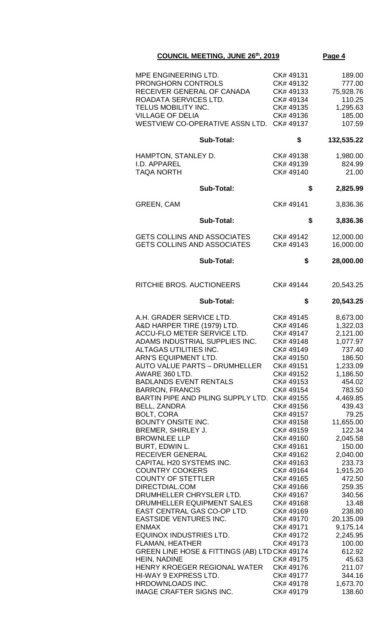| MPE ENGINEERING LTD.<br><b>PRONGHORN CONTROLS</b><br>RECEIVER GENERAL OF CANADA<br>ROADATA SERVICES LTD.<br>TELUS MOBILITY INC.<br><b>VILLAGE OF DELIA</b><br>WESTVIEW CO-OPERATIVE ASSN LTD.                                                                                                                                                                                                                                                                                                                                                                                                                                                                                                                                                                                                                                                                                                                                                                                                 | CK# 49131<br>CK# 49132<br>CK# 49133<br>CK# 49134<br>CK# 49135<br>CK# 49136<br>CK# 49137                                                                                                                                                                                                                                                                                                                                                                | 189.00<br>777.00<br>75,928.76<br>110.25<br>1,295.63<br>185.00<br>107.59                                                                                                                                                                                                                                                                                                                 |
|-----------------------------------------------------------------------------------------------------------------------------------------------------------------------------------------------------------------------------------------------------------------------------------------------------------------------------------------------------------------------------------------------------------------------------------------------------------------------------------------------------------------------------------------------------------------------------------------------------------------------------------------------------------------------------------------------------------------------------------------------------------------------------------------------------------------------------------------------------------------------------------------------------------------------------------------------------------------------------------------------|--------------------------------------------------------------------------------------------------------------------------------------------------------------------------------------------------------------------------------------------------------------------------------------------------------------------------------------------------------------------------------------------------------------------------------------------------------|-----------------------------------------------------------------------------------------------------------------------------------------------------------------------------------------------------------------------------------------------------------------------------------------------------------------------------------------------------------------------------------------|
| <b>Sub-Total:</b>                                                                                                                                                                                                                                                                                                                                                                                                                                                                                                                                                                                                                                                                                                                                                                                                                                                                                                                                                                             | \$                                                                                                                                                                                                                                                                                                                                                                                                                                                     | 132,535.22                                                                                                                                                                                                                                                                                                                                                                              |
| HAMPTON, STANLEY D.<br>I.D. APPAREL<br><b>TAQA NORTH</b>                                                                                                                                                                                                                                                                                                                                                                                                                                                                                                                                                                                                                                                                                                                                                                                                                                                                                                                                      | CK# 49138<br>CK# 49139<br>CK# 49140                                                                                                                                                                                                                                                                                                                                                                                                                    | 1,980.00<br>824.99<br>21.00                                                                                                                                                                                                                                                                                                                                                             |
| <b>Sub-Total:</b>                                                                                                                                                                                                                                                                                                                                                                                                                                                                                                                                                                                                                                                                                                                                                                                                                                                                                                                                                                             | \$                                                                                                                                                                                                                                                                                                                                                                                                                                                     | 2,825.99                                                                                                                                                                                                                                                                                                                                                                                |
| <b>GREEN, CAM</b>                                                                                                                                                                                                                                                                                                                                                                                                                                                                                                                                                                                                                                                                                                                                                                                                                                                                                                                                                                             | CK# 49141                                                                                                                                                                                                                                                                                                                                                                                                                                              | 3,836.36                                                                                                                                                                                                                                                                                                                                                                                |
| <b>Sub-Total:</b>                                                                                                                                                                                                                                                                                                                                                                                                                                                                                                                                                                                                                                                                                                                                                                                                                                                                                                                                                                             | \$                                                                                                                                                                                                                                                                                                                                                                                                                                                     | 3,836.36                                                                                                                                                                                                                                                                                                                                                                                |
| <b>GETS COLLINS AND ASSOCIATES</b><br><b>GETS COLLINS AND ASSOCIATES</b>                                                                                                                                                                                                                                                                                                                                                                                                                                                                                                                                                                                                                                                                                                                                                                                                                                                                                                                      | CK# 49142<br>CK# 49143                                                                                                                                                                                                                                                                                                                                                                                                                                 | 12,000.00<br>16,000.00                                                                                                                                                                                                                                                                                                                                                                  |
| <b>Sub-Total:</b>                                                                                                                                                                                                                                                                                                                                                                                                                                                                                                                                                                                                                                                                                                                                                                                                                                                                                                                                                                             | \$                                                                                                                                                                                                                                                                                                                                                                                                                                                     | 28,000.00                                                                                                                                                                                                                                                                                                                                                                               |
| RITCHIE BROS. AUCTIONEERS                                                                                                                                                                                                                                                                                                                                                                                                                                                                                                                                                                                                                                                                                                                                                                                                                                                                                                                                                                     | CK# 49144                                                                                                                                                                                                                                                                                                                                                                                                                                              | 20,543.25                                                                                                                                                                                                                                                                                                                                                                               |
| <b>Sub-Total:</b>                                                                                                                                                                                                                                                                                                                                                                                                                                                                                                                                                                                                                                                                                                                                                                                                                                                                                                                                                                             | \$                                                                                                                                                                                                                                                                                                                                                                                                                                                     | 20,543.25                                                                                                                                                                                                                                                                                                                                                                               |
| A.H. GRADER SERVICE LTD.<br>A&D HARPER TIRE (1979) LTD.<br>ACCU-FLO METER SERVICE LTD.<br>ADAMS INDUSTRIAL SUPPLIES INC.<br>ALTAGAS UTILITIES INC.<br>ARN'S EQUIPMENT LTD.<br><b>AUTO VALUE PARTS - DRUMHELLER</b><br>AWARE 360 LTD.<br><b>BADLANDS EVENT RENTALS</b><br><b>BARRON, FRANCIS</b><br>BARTIN PIPE AND PILING SUPPLY LTD.<br><b>BELL, ZANDRA</b><br><b>BOLT, CORA</b><br><b>BOUNTY ONSITE INC.</b><br>BREMER, SHIRLEY J.<br><b>BROWNLEE LLP</b><br>BURT, EDWIN L.<br>RECEIVER GENERAL<br>CAPITAL H20 SYSTEMS INC.<br><b>COUNTRY COOKERS</b><br><b>COUNTY OF STETTLER</b><br>DIRECTDIAL.COM<br>DRUMHELLER CHRYSLER LTD.<br>DRUMHELLER EQUIPMENT SALES<br>EAST CENTRAL GAS CO-OP LTD.<br><b>EASTSIDE VENTURES INC.</b><br><b>ENMAX</b><br><b>EQUINOX INDUSTRIES LTD.</b><br><b>FLAMAN, HEATHER</b><br>GREEN LINE HOSE & FITTINGS (AB) LTD CK# 49174<br>HEIN, NADINE<br>HENRY KROEGER REGIONAL WATER<br>HI-WAY 9 EXPRESS LTD.<br>HRDOWNLOADS INC.<br><b>IMAGE CRAFTER SIGNS INC.</b> | CK# 49145<br>CK# 49146<br>CK# 49147<br>CK# 49148<br>CK# 49149<br>CK# 49150<br>CK# 49151<br>CK# 49152<br>CK# 49153<br>CK# 49154<br>CK# 49155<br>CK# 49156<br>CK# 49157<br>CK# 49158<br>CK# 49159<br>CK# 49160<br>CK# 49161<br>CK# 49162<br>CK# 49163<br>CK# 49164<br>CK# 49165<br>CK# 49166<br>CK# 49167<br>CK# 49168<br>CK# 49169<br>CK# 49170<br>CK# 49171<br>CK# 49172<br>CK# 49173<br>CK# 49175<br>CK# 49176<br>CK# 49177<br>CK# 49178<br>CK# 49179 | 8,673.00<br>1,322.03<br>2,121.00<br>1,077.97<br>737.40<br>186.50<br>1,233.09<br>1,186.50<br>454.02<br>783.50<br>4,469.85<br>439.43<br>79.25<br>11,655.00<br>122.34<br>2,045.58<br>150.00<br>2,040.00<br>233.73<br>1,915.20<br>472.50<br>259.35<br>340.56<br>13.48<br>238.80<br>20,135.09<br>9,175.14<br>2,245.95<br>100.00<br>612.92<br>45.63<br>211.07<br>344.16<br>1,673.70<br>138.60 |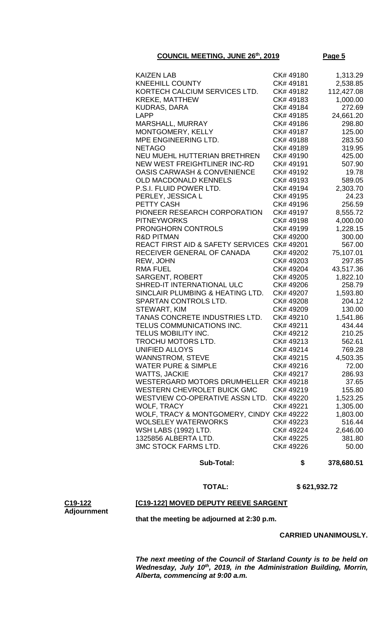| <b>KAIZEN LAB</b>                                                         | CK#49180  | 1,313.29            |
|---------------------------------------------------------------------------|-----------|---------------------|
| <b>KNEEHILL COUNTY</b>                                                    | CK# 49181 | 2,538.85            |
| KORTECH CALCIUM SERVICES LTD.                                             | CK# 49182 | 112,427.08          |
| <b>KREKE, MATTHEW</b>                                                     | CK#49183  | 1,000.00            |
| <b>KUDRAS, DARA</b>                                                       | CK# 49184 | 272.69              |
| <b>LAPP</b>                                                               | CK# 49185 | 24,661.20           |
| <b>MARSHALL, MURRAY</b>                                                   | CK# 49186 | 298.80              |
| MONTGOMERY, KELLY                                                         | CK# 49187 | 125.00              |
| MPE ENGINEERING LTD.                                                      | CK# 49188 | 283.50              |
| <b>NETAGO</b>                                                             | CK# 49189 | 319.95              |
| NEU MUEHL HUTTERIAN BRETHREN                                              | CK#49190  | 425.00              |
| NEW WEST FREIGHTLINER INC-RD                                              | CK# 49191 | 507.90              |
| <b>OASIS CARWASH &amp; CONVENIENCE</b>                                    | CK# 49192 | 19.78               |
| OLD MACDONALD KENNELS                                                     | CK#49193  | 589.05              |
| P.S.I. FLUID POWER LTD.                                                   | CK# 49194 | 2,303.70            |
| PERLEY, JESSICA L                                                         | CK# 49195 | 24.23               |
| PETTY CASH                                                                | CK# 49196 | 256.59              |
| PIONEER RESEARCH CORPORATION                                              | CK# 49197 | 8,555.72            |
| <b>PITNEYWORKS</b>                                                        | CK# 49198 | 4,000.00            |
| <b>PRONGHORN CONTROLS</b>                                                 | CK#49199  | 1,228.15            |
| <b>R&amp;D PITMAN</b>                                                     | CK# 49200 | 300.00              |
| REACT FIRST AID & SAFETY SERVICES CK# 49201<br>RECEIVER GENERAL OF CANADA | CK# 49202 | 567.00<br>75,107.01 |
| REW, JOHN                                                                 | CK# 49203 | 297.85              |
| <b>RMA FUEL</b>                                                           | CK# 49204 | 43,517.36           |
| <b>SARGENT, ROBERT</b>                                                    | CK# 49205 | 1,822.10            |
| SHRED-IT INTERNATIONAL ULC                                                | CK# 49206 | 258.79              |
| SINCLAIR PLUMBING & HEATING LTD.                                          | CK# 49207 | 1,593.80            |
| SPARTAN CONTROLS LTD.                                                     | CK# 49208 | 204.12              |
| STEWART, KIM                                                              | CK# 49209 | 130.00              |
| TANAS CONCRETE INDUSTRIES LTD.                                            | CK# 49210 | 1,541.86            |
| TELUS COMMUNICATIONS INC.                                                 | CK# 49211 | 434.44              |
| TELUS MOBILITY INC.                                                       | CK# 49212 | 210.25              |
| <b>TROCHU MOTORS LTD.</b>                                                 | CK# 49213 | 562.61              |
| <b>UNIFIED ALLOYS</b>                                                     | CK#49214  | 769.28              |
| WANNSTROM, STEVE                                                          | CK# 49215 | 4,503.35            |
| <b>WATER PURE &amp; SIMPLE</b>                                            | CK# 49216 | 72.00               |
| <b>WATTS, JACKIE</b>                                                      | CK# 49217 | 286.93              |
| WESTERGARD MOTORS DRUMHELLER CK# 49218<br>WESTERN CHEVROLET BUICK GMC     | CK#49219  | 37.65<br>155.80     |
| WESTVIEW CO-OPERATIVE ASSN LTD.                                           | CK# 49220 | 1,523.25            |
| WOLF, TRACY                                                               | CK# 49221 | 1,305.00            |
| WOLF, TRACY & MONTGOMERY, CINDY CK# 49222<br><b>WOLSELEY WATERWORKS</b>   | CK# 49223 | 1,803.00<br>516.44  |
| <b>WSH LABS (1992) LTD.</b>                                               | CK# 49224 | 2,646.00            |
| 1325856 ALBERTA LTD.                                                      | CK# 49225 | 381.80              |
| <b>3MC STOCK FARMS LTD.</b>                                               | CK# 49226 | 50.00               |
|                                                                           |           |                     |

 **Sub-Total: \$ 378,680.51**

 **TOTAL: \$ 621,932.72**

### **[C19-122] MOVED DEPUTY REEVE SARGENT**

**C19-122 Adjournment**

**that the meeting be adjourned at 2:30 p.m.**

**CARRIED UNANIMOUSLY.**

*The next meeting of the Council of Starland County is to be held on Wednesday, July 10th, 2019, in the Administration Building, Morrin, Alberta, commencing at 9:00 a.m.*